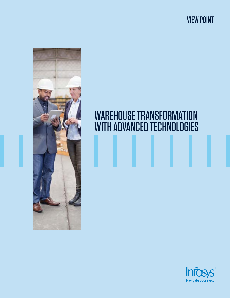VIEW POINT



## WAREHOUSE TRANSFORMATION WITH ADVANCED TECHNOLOGIES

## Int Navigate your next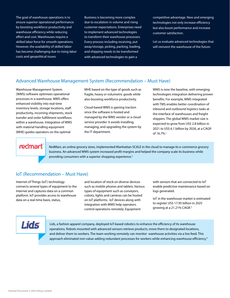The goal of warehouse operations is to ensure superior operational performance by boosting workforce productivity and warehouse efficiency while reducing effort and cost. Warehouses require a skilled labor force for smooth operations. However, the availability of skilled labor has become challenging due to rising labor costs and geopolitical issues.

Business is becoming more complex due to escalation in volume and rising customer expectations. Enterprises need to implement advanced technologies to transform their warehouse processes. Every process including receiving, put away/storage, picking, packing, loading, and shipping needs to be transformed with advanced technologies to gain a

competitive advantage. New and emerging technologies not only increase efficiency but also boost performance and increase customer satisfaction.

Let us evaluate advanced technologies that will reinvent the warehouse of the future:

## Advanced Warehouse Management System (Recommendation – Must Have)

Warehouse Management System (WMS) software optimizes operational processes in a warehouse. WMS offers enhanced visibility into real-time inventory levels, storage locations, staff productivity, incoming shipments, stock transfer and order fulfillment workflows within a warehouse. Integration of WMS with material handling equipment (MHE) guides operators on the optimal

MHE based on the type of goods such as fragile, heavy or volumetric goods while also boosting workforce productivity.

Cloud-based WMS is gaining traction since the software is hosted and managed by the WMS vendor or a cloud service provider. It avoids installing, managing, and upgrading the system by the IT department.

WMS is now the baseline, with emerging technologies integration delivering proven benefits. For example, WMS integrated with TMS enables better coordination of inbound and outbound logistics tasks at the interface of warehouses and freight shippers. The global WMS market size is expected to grow from US\$ 2.8 billion in 2021 to US\$ 6.1 billion by 2026, at a CAGR of 16.7%.1

## redmart

RedMart, an online grocery store, implemented Manhattan SCALE in the cloud to manage its e-commerce grocery business. An advanced WMS system increased profit margins and helped the company scale its business while providing consumers with a superior shopping experience.<sup>2</sup>

### IoT (Recommendation – Must Have)

Internet of Things (IoT) technology connects several types of equipment to the Internet and captures data on a common platform. IoT provides access to warehouse data on a real-time basis, status,

and location of stock on diverse devices such as mobile phones and tablets. Various types of equipment such as conveyors, cobots, lights and cameras can be hosted on IoT platforms. IoT devices along with integration with WMS help operators control operations remotely. Equipment

with sensors that are connected to IoT enable predictive maintenance based on logs generated.

IoT in the warehouse market is estimated to register US\$ 17.95 billion in 2025 growing at a 21.21% CAGR.<sup>3</sup>

# Lids

Lids, a fashion apparel company, deployed IoT-based robotics to enhance the efficiency of its warehouse operations. Robots mounted with advanced sensors retrieve products, move them to designated locations, and deliver them to workers. The team working remotely can monitor warehouse activities via a live feed. This approach eliminated non-value-adding redundant processes for workers while enhancing warehouse efficiency.<sup>4</sup>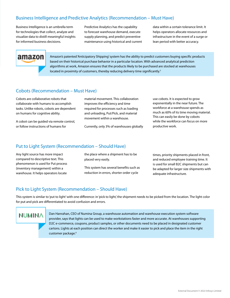## Business Intelligence and Predictive Analytics (Recommendation – Must Have)

Business Intelligence is an umbrella term for technologies that collect, analyze and visualize data to distill meaningful insights for informed business decisions.

Predictive Analytics has the capability to forecast warehouse demand, execute supply planning, and predict preventive maintenance using historical and current data within a certain tolerance limit. It helps operators allocate resources and infrastructure in the event of a surge or lean period with better accuracy.



Amazon's patented 'Anticipatory Shipping' system has the ability to predict customers buying specific products based on their historical purchase behavior in a particular location. With advanced analytical prediction algorithms at work, Amazon ensures that the products likely to be purchased are stocked at warehouses located in proximity of customers, thereby reducing delivery time significantly.<sup>5</sup>

### Cobots (Recommendation – Must Have)

Cobots are collaborative robots that collaborate with humans to accomplish tasks. Unlike robots, cobots are dependent on humans for cognitive ability.

A cobot can be guided via remote control, or follow instructions of humans for

material movement. This collaboration improves the efficiency and time required for processes such as loading and unloading, Put/Pick, and material movement within a warehouse.

Currently, only 3% of warehouses globally

use cobots. It is expected to grow exponentially in the near future. The workforce at a warehouse spends as much as 60% of its time moving material. This can easily be done by cobots while the workforce can focus on more productive work.

#### Put to Light System (Recommendation – Should Have)

Any light source has more impact compared to descriptive text. This phenomenon is used for Put process (inventory management) within a warehouse. It helps operators locate

the place where a shipment has to be placed very easily.

This system has several benefits such as reduction in errors, shorter order cycle

times, priority shipments placed in front, and reduced employee training time. It is used for small B2C shipments but can be adapted for larger size shipments with adequate infrastructure.

### Pick to Light System (Recommendation – Should Have)

This system is similar to 'put to light' with one difference: in 'pick to light,' the shipment needs to be picked from the location. The light color for put and pick are differentiated to avoid confusion and errors.

## **NUMINA**

Dan Hanrahan, CEO of Numina Group, a warehouse automation and warehouse execution system software provider, says that lights can be used to make workstations faster and more accurate. At warehouses supporting D2C e-commerce, coupons, product samples, or other documents need to be placed in designated customer cartons. Lights at each position can direct the worker and make it easier to pick and place the item in the right customer package.<sup>6</sup>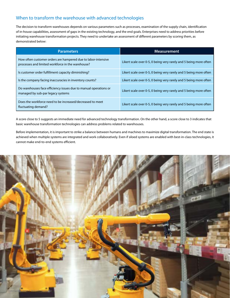## When to transform the warehouse with advanced technologies

The decision to transform warehouses depends on various parameters such as processes, examination of the supply chain, identification of in-house capabilities, assessment of gaps in the existing technology, and the end goals. Enterprises need to address priorities before initiating warehouse transformation projects. They need to undertake an assessment of different parameters by scoring them, as demonstrated below:

| <b>Parameters</b>                                                                                                  | <b>Measurement</b>                                                |
|--------------------------------------------------------------------------------------------------------------------|-------------------------------------------------------------------|
| How often customer orders are hampered due to labor-intensive<br>processes and limited workforce in the warehouse? | Likert scale over 0-5, 0 being very rarely and 5 being more often |
| Is customer order fulfillment capacity diminishing?                                                                | Likert scale over 0-5, 0 being very rarely and 5 being more often |
| Is the company facing inaccuracies in inventory counts?                                                            | Likert scale over 0-5, 0 being very rarely and 5 being more often |
| Do warehouses face efficiency issues due to manual operations or<br>managed by sub-par legacy systems              | Likert scale over 0-5, 0 being very rarely and 5 being more often |
| Does the workforce need to be increased/decreased to meet<br>fluctuating demand?                                   | Likert scale over 0-5, 0 being very rarely and 5 being more often |

A score close to 5 suggests an immediate need for advanced technology transformation. On the other hand, a score close to 3 indicates that basic warehouse transformation technologies can address problems related to warehouses.

Before implementation, it is important to strike a balance between humans and machines to maximize digital transformation. The end state is achieved when multiple systems are integrated and work collaboratively. Even if siloed systems are enabled with best-in-class technologies, it cannot make end-to-end systems efficient.

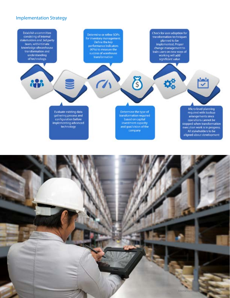## Implementation Strategy



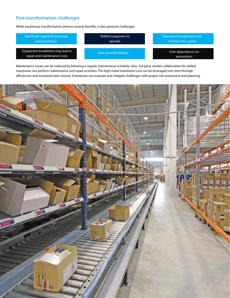## Post-transformation challenges

While warehouse transformation delivers several benefits, it also presents challenges:



Maintenance issues can be reduced by following a regular maintenance schedule. Also, 3rd party vendor collaboration for skilled manpower can perform maintenance and repair activities. The high initial investment cost can be leveraged over time through efficiencies and increased sales volume. Enterprises can evaluate and mitigate challenges with proper risk assessment and planning.

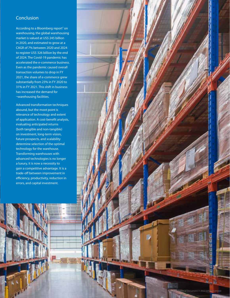## **Conclusion**

According to a Bloomberg report<sup>7</sup> on warehousing, the global warehousing market is valued at US\$ 245 billion in 2020, and estimated to grow at a CAGR of 7% between 2020 and 2024 to register US\$ 326 billion by the end of 2024. The Covid-19 pandemic has accelerated the e-commerce business. Even as the pandemic caused overall transaction volumes to drop in FY 2021, the share of e-commerce grew substantially from 23% in FY 2020 to 31% in FY 2021. This shift in business has increased the demand for ¬warehousing facilities.

Advanced transformation techniques abound, but the moot point is relevance of technology and extent of application. A cost-benefit analysis, evaluating anticipated returns (both tangible and non-tangible) on investment, long-term vision, future prospects, and scalability determine selection of the optimal technology for the warehouse. Transforming warehouses with advanced technologies is no longer a luxury, it is now a necessity to gain a competitive advantage. It is a trade-off between improvement in efficiency, productivity, reduction in errors, and capital investment.